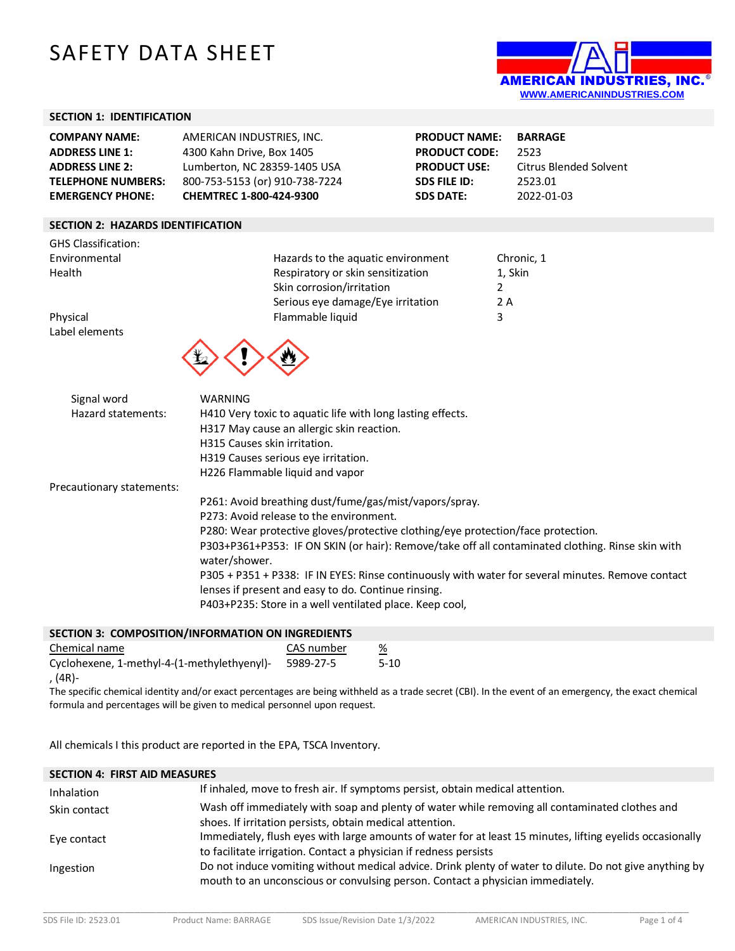# SAFETY DATA SHEET



# **SECTION 1: IDENTIFICATION**

| <b>COMPANY NAME:</b>      | AMERICAN INDUSTRIES. INC.      | <b>PRODUCT NAME:</b> | <b>BARRAGE</b>         |
|---------------------------|--------------------------------|----------------------|------------------------|
| <b>ADDRESS LINE 1:</b>    | 4300 Kahn Drive, Box 1405      | <b>PRODUCT CODE:</b> | 2523                   |
| <b>ADDRESS LINE 2:</b>    | Lumberton, NC 28359-1405 USA   | <b>PRODUCT USE:</b>  | Citrus Blended Solvent |
| <b>TELEPHONE NUMBERS:</b> | 800-753-5153 (or) 910-738-7224 | SDS FILE ID:         | 2523.01                |
| <b>EMERGENCY PHONE:</b>   | <b>CHEMTREC 1-800-424-9300</b> | <b>SDS DATE:</b>     | 2022-01-03             |

# **SECTION 2: HAZARDS IDENTIFICATION**

| <b>GHS Classification:</b>        |                                                                                                                                                                                                  |            |
|-----------------------------------|--------------------------------------------------------------------------------------------------------------------------------------------------------------------------------------------------|------------|
| Environmental                     | Hazards to the aquatic environment                                                                                                                                                               | Chronic, 1 |
| Health                            | Respiratory or skin sensitization                                                                                                                                                                | 1, Skin    |
|                                   | Skin corrosion/irritation                                                                                                                                                                        | 2          |
|                                   | Serious eye damage/Eye irritation                                                                                                                                                                | 2 A        |
| Physical                          | Flammable liquid                                                                                                                                                                                 | 3          |
| Label elements                    |                                                                                                                                                                                                  |            |
| Signal word<br>Hazard statements: | <b>WARNING</b><br>H410 Very toxic to aquatic life with long lasting effects.<br>H317 May cause an allergic skin reaction.<br>H315 Causes skin irritation.<br>H319 Causes serious eye irritation. |            |
|                                   | H226 Flammable liquid and vapor                                                                                                                                                                  |            |
| Precautionary statements:         |                                                                                                                                                                                                  |            |
|                                   | P261: Avoid breathing dust/fume/gas/mist/vapors/spray.                                                                                                                                           |            |
|                                   | P273: Avoid release to the environment.                                                                                                                                                          |            |
|                                   | P280: Wear protective gloves/protective clothing/eye protection/face protection.                                                                                                                 |            |
|                                   | P303+P361+P353: IF ON SKIN (or hair): Remove/take off all contaminated clothing. Rinse skin with<br>water/shower.                                                                                |            |
|                                   | P305 + P351 + P338: IF IN EYES: Rinse continuously with water for several minutes. Remove contact<br>lenses if present and easy to do. Continue rinsing.                                         |            |
|                                   | P403+P235: Store in a well ventilated place. Keep cool,                                                                                                                                          |            |

| <b>SECTION 3: COMPOSITION/INFORMATION ON INGREDIENTS</b> |            |          |
|----------------------------------------------------------|------------|----------|
| Chemical name                                            | CAS number | %        |
| Cyclohexene, 1-methyl-4-(1-methylethyenyl)-              | 5989-27-5  | $5 - 10$ |

, (4R)-

The specific chemical identity and/or exact percentages are being withheld as a trade secret (CBI). In the event of an emergency, the exact chemical formula and percentages will be given to medical personnel upon request.

All chemicals I this product are reported in the EPA, TSCA Inventory.

| <b>SECTION 4: FIRST AID MEASURES</b> |                                                                                                                                                                                           |
|--------------------------------------|-------------------------------------------------------------------------------------------------------------------------------------------------------------------------------------------|
| Inhalation                           | If inhaled, move to fresh air. If symptoms persist, obtain medical attention.                                                                                                             |
| Skin contact                         | Wash off immediately with soap and plenty of water while removing all contaminated clothes and<br>shoes. If irritation persists, obtain medical attention.                                |
| Eye contact                          | Immediately, flush eyes with large amounts of water for at least 15 minutes, lifting eyelids occasionally<br>to facilitate irrigation. Contact a physician if redness persists            |
| Ingestion                            | Do not induce vomiting without medical advice. Drink plenty of water to dilute. Do not give anything by<br>mouth to an unconscious or convulsing person. Contact a physician immediately. |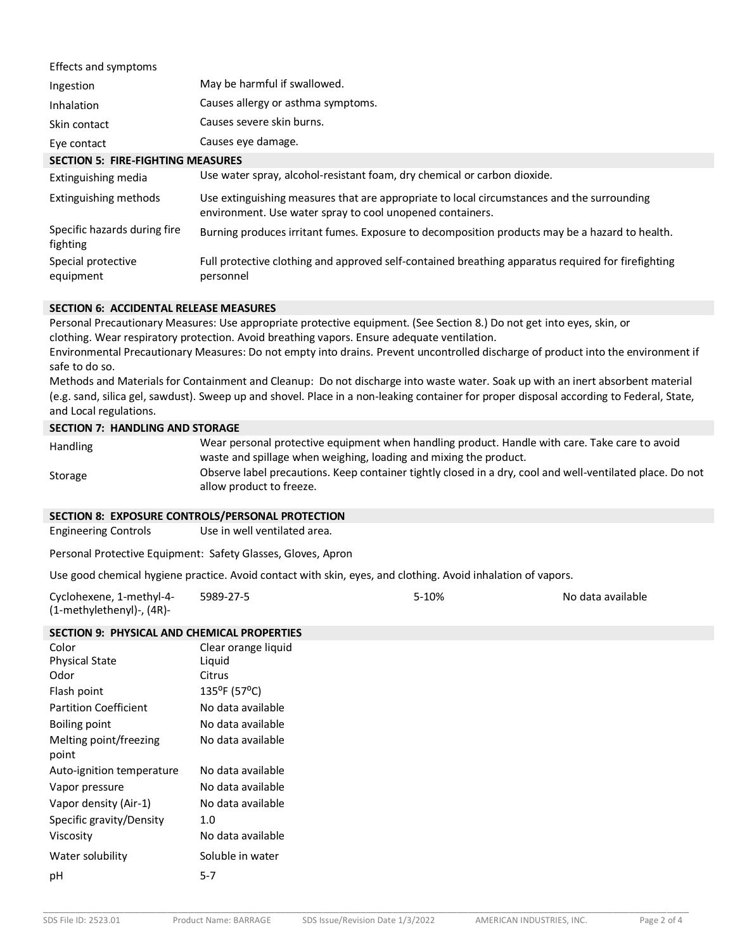| Effects and symptoms                     |                                                                                                                                                         |
|------------------------------------------|---------------------------------------------------------------------------------------------------------------------------------------------------------|
| Ingestion                                | May be harmful if swallowed.                                                                                                                            |
| Inhalation                               | Causes allergy or asthma symptoms.                                                                                                                      |
| Skin contact                             | Causes severe skin burns.                                                                                                                               |
| Eye contact                              | Causes eye damage.                                                                                                                                      |
| <b>SECTION 5: FIRE-FIGHTING MEASURES</b> |                                                                                                                                                         |
| Extinguishing media                      | Use water spray, alcohol-resistant foam, dry chemical or carbon dioxide.                                                                                |
| Extinguishing methods                    | Use extinguishing measures that are appropriate to local circumstances and the surrounding<br>environment. Use water spray to cool unopened containers. |
| Specific hazards during fire<br>fighting | Burning produces irritant fumes. Exposure to decomposition products may be a hazard to health.                                                          |
| Special protective<br>equipment          | Full protective clothing and approved self-contained breathing apparatus required for firefighting<br>personnel                                         |

# **SECTION 6: ACCIDENTAL RELEASE MEASURES**

Personal Precautionary Measures: Use appropriate protective equipment. (See Section 8.) Do not get into eyes, skin, or clothing. Wear respiratory protection. Avoid breathing vapors. Ensure adequate ventilation.

Environmental Precautionary Measures: Do not empty into drains. Prevent uncontrolled discharge of product into the environment if safe to do so.

Methods and Materials for Containment and Cleanup: Do not discharge into waste water. Soak up with an inert absorbent material (e.g. sand, silica gel, sawdust). Sweep up and shovel. Place in a non-leaking container for proper disposal according to Federal, State, and Local regulations.

#### **SECTION 7: HANDLING AND STORAGE**

| Handling | Wear personal protective equipment when handling product. Handle with care. Take care to avoid            |
|----------|-----------------------------------------------------------------------------------------------------------|
|          | waste and spillage when weighing, loading and mixing the product.                                         |
| Storage  | Observe label precautions. Keep container tightly closed in a dry, cool and well-ventilated place. Do not |
|          | allow product to freeze.                                                                                  |

# **SECTION 8: EXPOSURE CONTROLS/PERSONAL PROTECTION**

Engineering Controls Use in well ventilated area.

Personal Protective Equipment: Safety Glasses, Gloves, Apron

Use good chemical hygiene practice. Avoid contact with skin, eyes, and clothing. Avoid inhalation of vapors.

| Cyclohexene, 1-methyl-4-  | 5989-27-5 | 5-10% | No data available |
|---------------------------|-----------|-------|-------------------|
| (1-methylethenyl)-, (4R)- |           |       |                   |

# **SECTION 9: PHYSICAL AND CHEMICAL PROPERTIES**

| Color                           | Clear orange liquid    |
|---------------------------------|------------------------|
| <b>Physical State</b>           | Liquid                 |
| Odor                            | Citrus                 |
| Flash point                     | $135^{\circ}$ F (57°C) |
| <b>Partition Coefficient</b>    | No data available      |
| Boiling point                   | No data available      |
| Melting point/freezing<br>point | No data available      |
| Auto-ignition temperature       | No data available      |
| Vapor pressure                  | No data available      |
| Vapor density (Air-1)           | No data available      |
| Specific gravity/Density        | 1.0                    |
| Viscosity                       | No data available      |
| Water solubility                | Soluble in water       |
| рH                              | $5 - 7$                |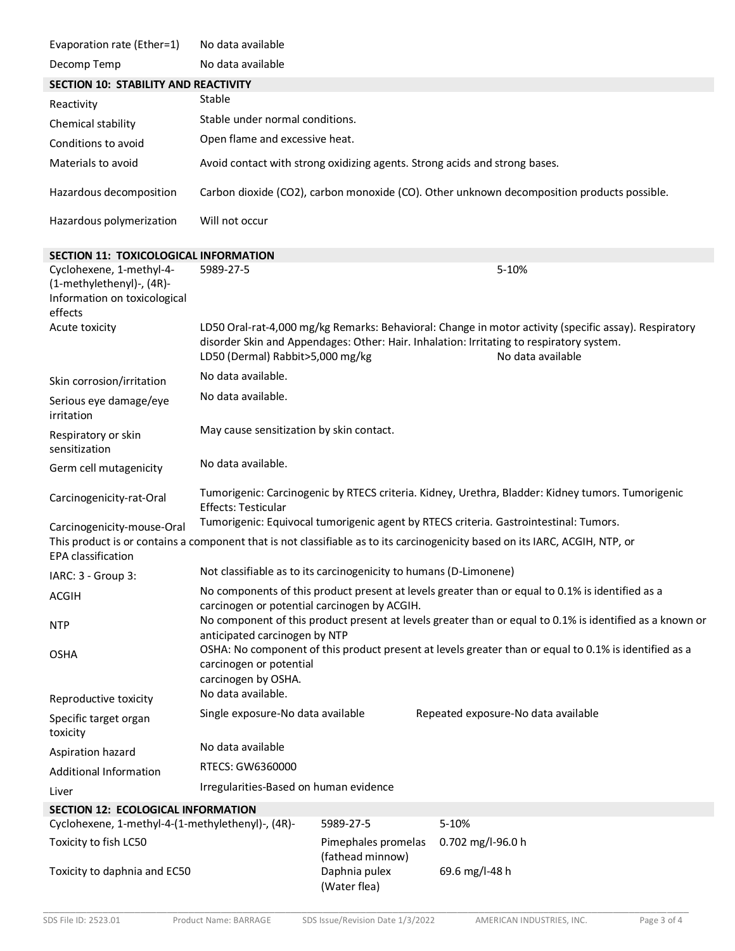| Evaporation rate (Ether=1)                                                                       | No data available                                                                                                                                                                                                                                          |                                         |                                                                                                                              |
|--------------------------------------------------------------------------------------------------|------------------------------------------------------------------------------------------------------------------------------------------------------------------------------------------------------------------------------------------------------------|-----------------------------------------|------------------------------------------------------------------------------------------------------------------------------|
| Decomp Temp                                                                                      | No data available                                                                                                                                                                                                                                          |                                         |                                                                                                                              |
| <b>SECTION 10: STABILITY AND REACTIVITY</b>                                                      |                                                                                                                                                                                                                                                            |                                         |                                                                                                                              |
| Reactivity                                                                                       | Stable                                                                                                                                                                                                                                                     |                                         |                                                                                                                              |
| Chemical stability                                                                               | Stable under normal conditions.                                                                                                                                                                                                                            |                                         |                                                                                                                              |
| Conditions to avoid                                                                              | Open flame and excessive heat.                                                                                                                                                                                                                             |                                         |                                                                                                                              |
| Materials to avoid                                                                               |                                                                                                                                                                                                                                                            |                                         | Avoid contact with strong oxidizing agents. Strong acids and strong bases.                                                   |
| Hazardous decomposition                                                                          |                                                                                                                                                                                                                                                            |                                         | Carbon dioxide (CO2), carbon monoxide (CO). Other unknown decomposition products possible.                                   |
| Hazardous polymerization                                                                         | Will not occur                                                                                                                                                                                                                                             |                                         |                                                                                                                              |
| <b>SECTION 11: TOXICOLOGICAL INFORMATION</b>                                                     |                                                                                                                                                                                                                                                            |                                         |                                                                                                                              |
| Cyclohexene, 1-methyl-4-<br>(1-methylethenyl)-, (4R)-<br>Information on toxicological<br>effects | 5989-27-5                                                                                                                                                                                                                                                  |                                         | 5-10%                                                                                                                        |
| Acute toxicity                                                                                   | LD50 Oral-rat-4,000 mg/kg Remarks: Behavioral: Change in motor activity (specific assay). Respiratory<br>disorder Skin and Appendages: Other: Hair. Inhalation: Irritating to respiratory system.<br>No data available<br>LD50 (Dermal) Rabbit>5,000 mg/kg |                                         |                                                                                                                              |
| Skin corrosion/irritation                                                                        | No data available.                                                                                                                                                                                                                                         |                                         |                                                                                                                              |
| Serious eye damage/eye<br>irritation                                                             | No data available.                                                                                                                                                                                                                                         |                                         |                                                                                                                              |
| Respiratory or skin<br>sensitization                                                             | May cause sensitization by skin contact.                                                                                                                                                                                                                   |                                         |                                                                                                                              |
| Germ cell mutagenicity                                                                           | No data available.                                                                                                                                                                                                                                         |                                         |                                                                                                                              |
| Carcinogenicity-rat-Oral                                                                         | Tumorigenic: Carcinogenic by RTECS criteria. Kidney, Urethra, Bladder: Kidney tumors. Tumorigenic<br><b>Effects: Testicular</b>                                                                                                                            |                                         |                                                                                                                              |
| Carcinogenicity-mouse-Oral                                                                       | Tumorigenic: Equivocal tumorigenic agent by RTECS criteria. Gastrointestinal: Tumors.                                                                                                                                                                      |                                         |                                                                                                                              |
| <b>EPA</b> classification                                                                        |                                                                                                                                                                                                                                                            |                                         | This product is or contains a component that is not classifiable as to its carcinogenicity based on its IARC, ACGIH, NTP, or |
| IARC: 3 - Group 3:                                                                               | Not classifiable as to its carcinogenicity to humans (D-Limonene)                                                                                                                                                                                          |                                         |                                                                                                                              |
| <b>ACGIH</b>                                                                                     | No components of this product present at levels greater than or equal to 0.1% is identified as a                                                                                                                                                           |                                         |                                                                                                                              |
| <b>NTP</b>                                                                                       | carcinogen or potential carcinogen by ACGIH.<br>No component of this product present at levels greater than or equal to 0.1% is identified as a known or<br>anticipated carcinogen by NTP                                                                  |                                         |                                                                                                                              |
| <b>OSHA</b>                                                                                      | OSHA: No component of this product present at levels greater than or equal to 0.1% is identified as a<br>carcinogen or potential                                                                                                                           |                                         |                                                                                                                              |
| Reproductive toxicity                                                                            | carcinogen by OSHA.<br>No data available.                                                                                                                                                                                                                  |                                         |                                                                                                                              |
| Specific target organ<br>toxicity                                                                | Single exposure-No data available                                                                                                                                                                                                                          |                                         | Repeated exposure-No data available                                                                                          |
| Aspiration hazard                                                                                | No data available                                                                                                                                                                                                                                          |                                         |                                                                                                                              |
| <b>Additional Information</b>                                                                    | RTECS: GW6360000                                                                                                                                                                                                                                           |                                         |                                                                                                                              |
| Liver                                                                                            | Irregularities-Based on human evidence                                                                                                                                                                                                                     |                                         |                                                                                                                              |
| <b>SECTION 12: ECOLOGICAL INFORMATION</b>                                                        |                                                                                                                                                                                                                                                            |                                         |                                                                                                                              |
| Cyclohexene, 1-methyl-4-(1-methylethenyl)-, (4R)-                                                |                                                                                                                                                                                                                                                            | 5989-27-5                               | 5-10%                                                                                                                        |
| Toxicity to fish LC50                                                                            |                                                                                                                                                                                                                                                            | Pimephales promelas<br>(fathead minnow) | 0.702 mg/l-96.0 h                                                                                                            |
| Toxicity to daphnia and EC50                                                                     |                                                                                                                                                                                                                                                            | Daphnia pulex<br>(Water flea)           | 69.6 mg/l-48 h                                                                                                               |